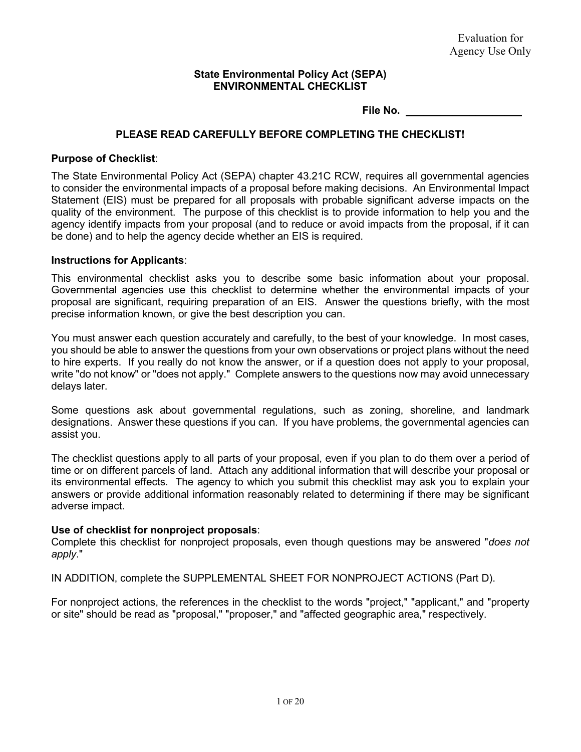#### **State Environmental Policy Act (SEPA) ENVIRONMENTAL CHECKLIST**

**File No. \_\_\_\_\_\_\_\_\_\_\_\_\_\_\_\_\_\_\_\_**

### **PLEASE READ CAREFULLY BEFORE COMPLETING THE CHECKLIST!**

#### **Purpose of Checklist**:

The State Environmental Policy Act (SEPA) chapter 43.21C RCW, requires all governmental agencies to consider the environmental impacts of a proposal before making decisions. An Environmental Impact Statement (EIS) must be prepared for all proposals with probable significant adverse impacts on the quality of the environment. The purpose of this checklist is to provide information to help you and the agency identify impacts from your proposal (and to reduce or avoid impacts from the proposal, if it can be done) and to help the agency decide whether an EIS is required.

#### **Instructions for Applicants**:

This environmental checklist asks you to describe some basic information about your proposal. Governmental agencies use this checklist to determine whether the environmental impacts of your proposal are significant, requiring preparation of an EIS. Answer the questions briefly, with the most precise information known, or give the best description you can.

You must answer each question accurately and carefully, to the best of your knowledge. In most cases, you should be able to answer the questions from your own observations or project plans without the need to hire experts. If you really do not know the answer, or if a question does not apply to your proposal, write "do not know" or "does not apply." Complete answers to the questions now may avoid unnecessary delays later.

Some questions ask about governmental regulations, such as zoning, shoreline, and landmark designations. Answer these questions if you can. If you have problems, the governmental agencies can assist you.

The checklist questions apply to all parts of your proposal, even if you plan to do them over a period of time or on different parcels of land. Attach any additional information that will describe your proposal or its environmental effects. The agency to which you submit this checklist may ask you to explain your answers or provide additional information reasonably related to determining if there may be significant adverse impact.

#### **Use of checklist for nonproject proposals**:

Complete this checklist for nonproject proposals, even though questions may be answered "*does not apply*."

IN ADDITION, complete the SUPPLEMENTAL SHEET FOR NONPROJECT ACTIONS (Part D).

For nonproject actions, the references in the checklist to the words "project," "applicant," and "property or site" should be read as "proposal," "proposer," and "affected geographic area," respectively.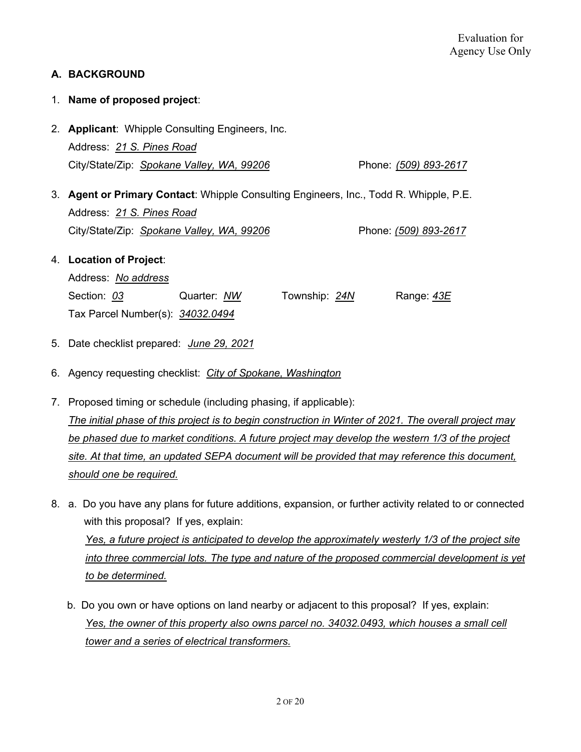# **A. BACKGROUND**

### 1. **Name of proposed project**:

- 2. **Applicant**: Whipple Consulting Engineers, Inc. Address: *21 S. Pines Road*  City/State/Zip: *Spokane Valley, WA, 99206* Phone: *(509) 893-2617*
- 3. **Agent or Primary Contact**: Whipple Consulting Engineers, Inc., Todd R. Whipple, P.E. Address: *21 S. Pines Road* City/State/Zip: *Spokane Valley, WA, 99206* Phone: *(509) 893-2617*

#### 4. **Location of Project**:

Address: *No address* Section: *03* Quarter: *NW* Township: *24N* Range: *43E* Tax Parcel Number(s): *34032.0494*

- 5. Date checklist prepared: *June 29, 2021*
- 6. Agency requesting checklist: *City of Spokane, Washington*
- 7. Proposed timing or schedule (including phasing, if applicable): *The initial phase of this project is to begin construction in Winter of 2021. The overall project may be phased due to market conditions. A future project may develop the western 1/3 of the project site. At that time, an updated SEPA document will be provided that may reference this document, should one be required.*
- 8. a. Do you have any plans for future additions, expansion, or further activity related to or connected with this proposal? If yes, explain: *Yes, a future project is anticipated to develop the approximately westerly 1/3 of the project site into three commercial lots. The type and nature of the proposed commercial development is yet to be determined.*
	- b. Do you own or have options on land nearby or adjacent to this proposal? If yes, explain: *Yes, the owner of this property also owns parcel no. 34032.0493, which houses a small cell tower and a series of electrical transformers.*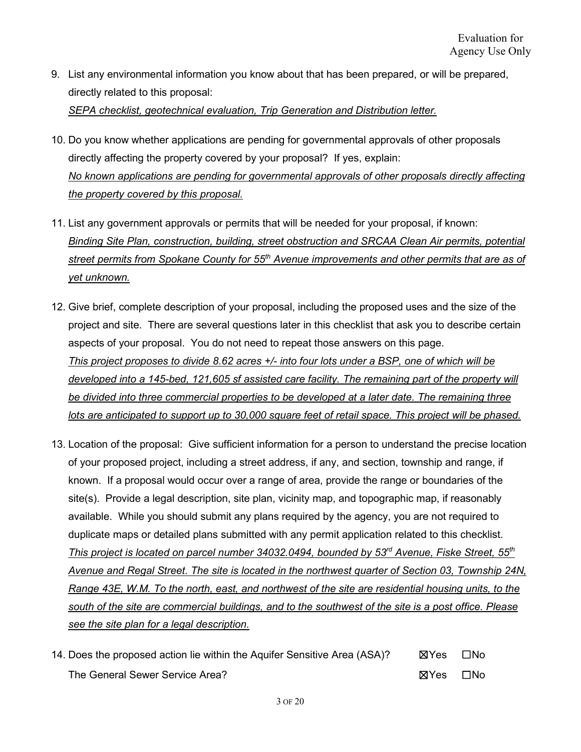- 9. List any environmental information you know about that has been prepared, or will be prepared, directly related to this proposal: *SEPA checklist, geotechnical evaluation, Trip Generation and Distribution letter.*
- 10. Do you know whether applications are pending for governmental approvals of other proposals directly affecting the property covered by your proposal? If yes, explain: *No known applications are pending for governmental approvals of other proposals directly affecting the property covered by this proposal.*
- 11. List any government approvals or permits that will be needed for your proposal, if known: *Binding Site Plan, construction, building, street obstruction and SRCAA Clean Air permits, potential street permits from Spokane County for 55th Avenue improvements and other permits that are as of yet unknown.*
- 12. Give brief, complete description of your proposal, including the proposed uses and the size of the project and site. There are several questions later in this checklist that ask you to describe certain aspects of your proposal. You do not need to repeat those answers on this page. *This project proposes to divide 8.62 acres +/- into four lots under a BSP, one of which will be developed into a 145-bed, 121,605 sf assisted care facility. The remaining part of the property will be divided into three commercial properties to be developed at a later date. The remaining three lots are anticipated to support up to 30,000 square feet of retail space. This project will be phased.*
- 13. Location of the proposal: Give sufficient information for a person to understand the precise location of your proposed project, including a street address, if any, and section, township and range, if known. If a proposal would occur over a range of area, provide the range or boundaries of the site(s). Provide a legal description, site plan, vicinity map, and topographic map, if reasonably available. While you should submit any plans required by the agency, you are not required to duplicate maps or detailed plans submitted with any permit application related to this checklist. *This project is located on parcel number 34032.0494, bounded by 53rd Avenue, Fiske Street, 55th Avenue and Regal Street. The site is located in the northwest quarter of Section 03, Township 24N, Range 43E, W.M. To the north, east, and northwest of the site are residential housing units, to the south of the site are commercial buildings, and to the southwest of the site is a post office. Please see the site plan for a legal description.*
- 14. Does the proposed action lie within the Aquifer Sensitive Area (ASA)?  **⊠Yes** □No The General Sewer Service Area? ☒Yes ☐No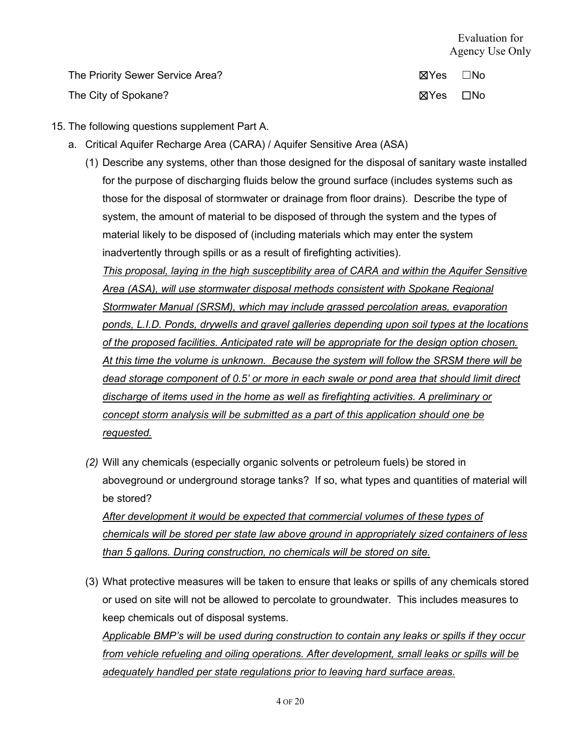The Priority Sewer Service Area? ☒Yes ☐No The City of Spokane? ☒Yes ☐No

- 15. The following questions supplement Part A.
	- a. Critical Aquifer Recharge Area (CARA) / Aquifer Sensitive Area (ASA)
		- (1) Describe any systems, other than those designed for the disposal of sanitary waste installed for the purpose of discharging fluids below the ground surface (includes systems such as those for the disposal of stormwater or drainage from floor drains). Describe the type of system, the amount of material to be disposed of through the system and the types of material likely to be disposed of (including materials which may enter the system inadvertently through spills or as a result of firefighting activities). *This proposal, laying in the high susceptibility area of CARA and within the Aquifer Sensitive Area (ASA), will use stormwater disposal methods consistent with Spokane Regional Stormwater Manual (SRSM), which may include grassed percolation areas, evaporation ponds, L.I.D. Ponds, drywells and gravel galleries depending upon soil types at the locations of the proposed facilities. Anticipated rate will be appropriate for the design option chosen.*

*At this time the volume is unknown. Because the system will follow the SRSM there will be dead storage component of 0.5' or more in each swale or pond area that should limit direct discharge of items used in the home as well as firefighting activities. A preliminary or concept storm analysis will be submitted as a part of this application should one be requested.*

*(2)* Will any chemicals (especially organic solvents or petroleum fuels) be stored in aboveground or underground storage tanks? If so, what types and quantities of material will be stored? *After development it would be expected that commercial volumes of these types of chemicals will be stored per state law above ground in appropriately sized containers of less* 

*than 5 gallons. During construction, no chemicals will be stored on site.*

(3) What protective measures will be taken to ensure that leaks or spills of any chemicals stored or used on site will not be allowed to percolate to groundwater. This includes measures to keep chemicals out of disposal systems. *Applicable BMP's will be used during construction to contain any leaks or spills if they occur* 

*from vehicle refueling and oiling operations. After development, small leaks or spills will be adequately handled per state regulations prior to leaving hard surface areas.*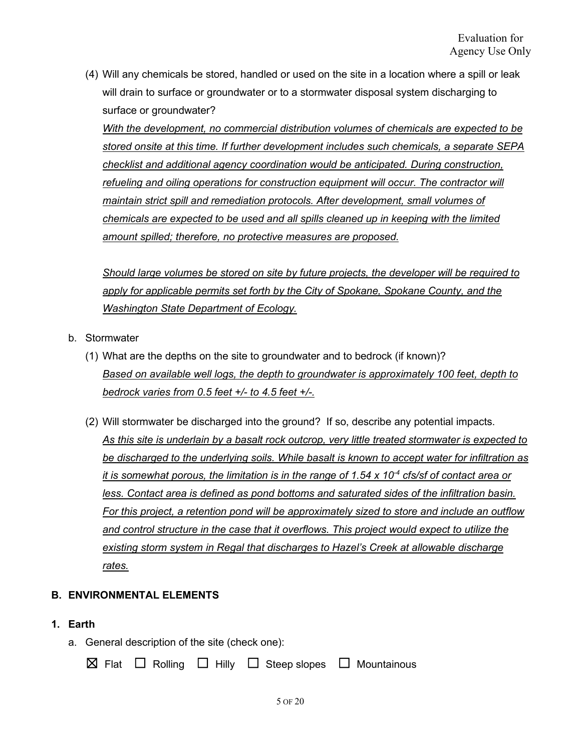(4) Will any chemicals be stored, handled or used on the site in a location where a spill or leak will drain to surface or groundwater or to a stormwater disposal system discharging to surface or groundwater?

*With the development, no commercial distribution volumes of chemicals are expected to be stored onsite at this time. If further development includes such chemicals, a separate SEPA checklist and additional agency coordination would be anticipated. During construction,*  refueling and oiling operations for construction equipment will occur. The contractor will *maintain strict spill and remediation protocols. After development, small volumes of chemicals are expected to be used and all spills cleaned up in keeping with the limited amount spilled; therefore, no protective measures are proposed.*

*Should large volumes be stored on site by future projects, the developer will be required to apply for applicable permits set forth by the City of Spokane, Spokane County, and the Washington State Department of Ecology.*

- b. Stormwater
	- (1) What are the depths on the site to groundwater and to bedrock (if known)? *Based on available well logs, the depth to groundwater is approximately 100 feet, depth to bedrock varies from 0.5 feet +/- to 4.5 feet +/-.*
	- (2) Will stormwater be discharged into the ground? If so, describe any potential impacts. *As this site is underlain by a basalt rock outcrop, very little treated stormwater is expected to be discharged to the underlying soils. While basalt is known to accept water for infiltration as it is somewhat porous, the limitation is in the range of 1.54 x 10-4 cfs/sf of contact area or less. Contact area is defined as pond bottoms and saturated sides of the infiltration basin. For this project, a retention pond will be approximately sized to store and include an outflow and control structure in the case that it overflows. This project would expect to utilize the existing storm system in Regal that discharges to Hazel's Creek at allowable discharge rates.*

### **B. ENVIRONMENTAL ELEMENTS**

- **1. Earth**
	- a. General description of the site (check one):

|  |  |  |  | $\boxtimes$ Flat $\Box$ Rolling $\Box$ Hilly $\Box$ Steep slopes $\Box$ Mountainous |  |
|--|--|--|--|-------------------------------------------------------------------------------------|--|
|--|--|--|--|-------------------------------------------------------------------------------------|--|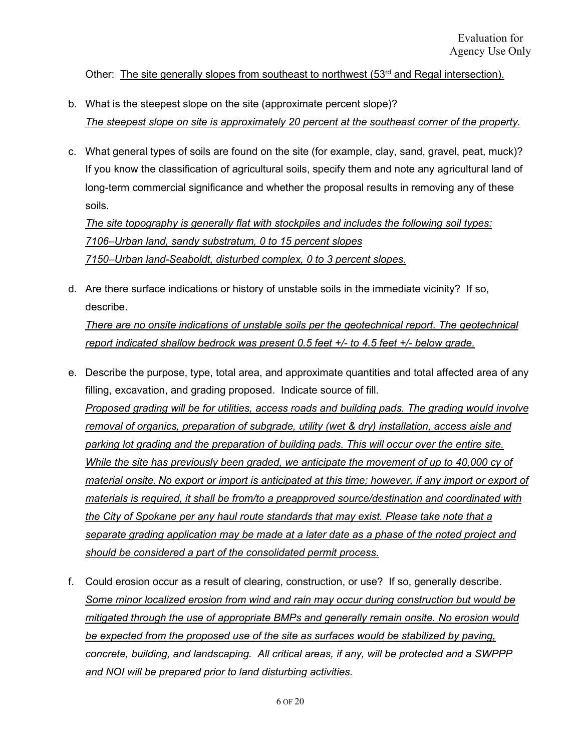Other: The site generally slopes from southeast to northwest  $(53<sup>rd</sup>$  and Regal intersection).

- b. What is the steepest slope on the site (approximate percent slope)? *The steepest slope on site is approximately 20 percent at the southeast corner of the property.*
- c. What general types of soils are found on the site (for example, clay, sand, gravel, peat, muck)? If you know the classification of agricultural soils, specify them and note any agricultural land of long-term commercial significance and whether the proposal results in removing any of these soils.

*The site topography is generally flat with stockpiles and includes the following soil types: 7106–Urban land, sandy substratum, 0 to 15 percent slopes 7150–Urban land-Seaboldt, disturbed complex, 0 to 3 percent slopes.*

d. Are there surface indications or history of unstable soils in the immediate vicinity? If so, describe. *There are no onsite indications of unstable soils per the geotechnical report. The geotechnical* 

*report indicated shallow bedrock was present 0.5 feet +/- to 4.5 feet +/- below grade.* 

- e. Describe the purpose, type, total area, and approximate quantities and total affected area of any filling, excavation, and grading proposed. Indicate source of fill. *Proposed grading will be for utilities, access roads and building pads. The grading would involve removal of organics, preparation of subgrade, utility (wet & dry) installation, access aisle and parking lot grading and the preparation of building pads. This will occur over the entire site. While the site has previously been graded, we anticipate the movement of up to 40,000 cy of material onsite. No export or import is anticipated at this time; however, if any import or export of materials is required, it shall be from/to a preapproved source/destination and coordinated with the City of Spokane per any haul route standards that may exist. Please take note that a separate grading application may be made at a later date as a phase of the noted project and should be considered a part of the consolidated permit process.*
- f. Could erosion occur as a result of clearing, construction, or use? If so, generally describe. *Some minor localized erosion from wind and rain may occur during construction but would be mitigated through the use of appropriate BMPs and generally remain onsite. No erosion would be expected from the proposed use of the site as surfaces would be stabilized by paving, concrete, building, and landscaping. All critical areas, if any, will be protected and a SWPPP and NOI will be prepared prior to land disturbing activities.*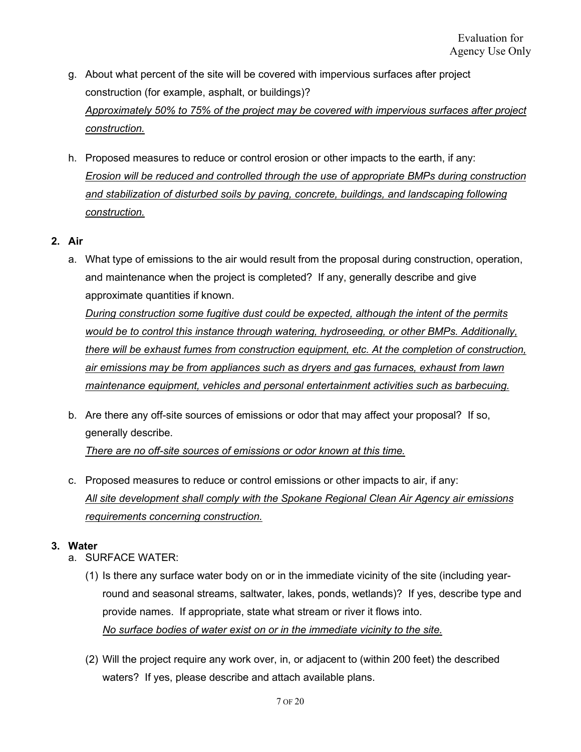- g. About what percent of the site will be covered with impervious surfaces after project construction (for example, asphalt, or buildings)? *Approximately 50% to 75% of the project may be covered with impervious surfaces after project construction.*
- h. Proposed measures to reduce or control erosion or other impacts to the earth, if any: *Erosion will be reduced and controlled through the use of appropriate BMPs during construction and stabilization of disturbed soils by paving, concrete, buildings, and landscaping following construction.*

### **2. Air**

a. What type of emissions to the air would result from the proposal during construction, operation, and maintenance when the project is completed? If any, generally describe and give approximate quantities if known.

*During construction some fugitive dust could be expected, although the intent of the permits would be to control this instance through watering, hydroseeding, or other BMPs. Additionally, there will be exhaust fumes from construction equipment, etc. At the completion of construction, air emissions may be from appliances such as dryers and gas furnaces, exhaust from lawn maintenance equipment, vehicles and personal entertainment activities such as barbecuing.*

- b. Are there any off-site sources of emissions or odor that may affect your proposal? If so, generally describe. *There are no off-site sources of emissions or odor known at this time.*
- c. Proposed measures to reduce or control emissions or other impacts to air, if any: *All site development shall comply with the Spokane Regional Clean Air Agency air emissions requirements concerning construction.*

# **3. Water**

- a. SURFACE WATER:
	- (1) Is there any surface water body on or in the immediate vicinity of the site (including yearround and seasonal streams, saltwater, lakes, ponds, wetlands)? If yes, describe type and provide names. If appropriate, state what stream or river it flows into. *No surface bodies of water exist on or in the immediate vicinity to the site.*
	- (2) Will the project require any work over, in, or adjacent to (within 200 feet) the described waters? If yes, please describe and attach available plans.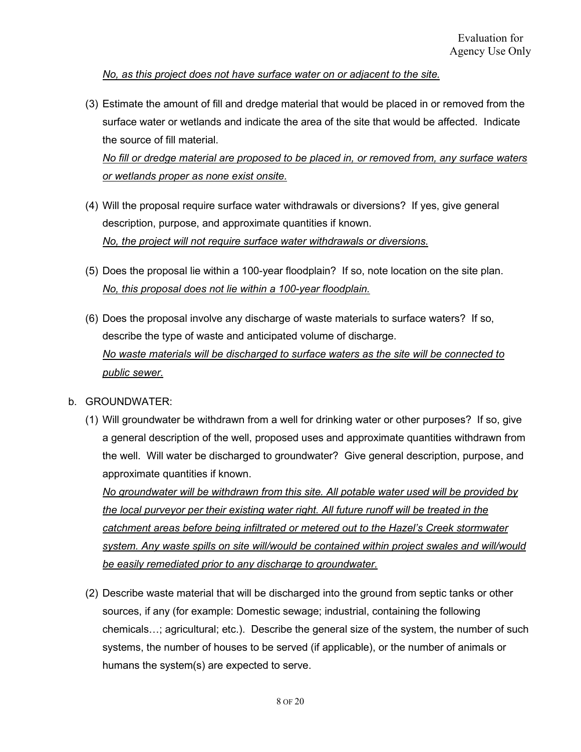*No, as this project does not have surface water on or adjacent to the site.*

(3) Estimate the amount of fill and dredge material that would be placed in or removed from the surface water or wetlands and indicate the area of the site that would be affected. Indicate the source of fill material.

*No fill or dredge material are proposed to be placed in, or removed from, any surface waters or wetlands proper as none exist onsite.*

- (4) Will the proposal require surface water withdrawals or diversions? If yes, give general description, purpose, and approximate quantities if known. *No, the project will not require surface water withdrawals or diversions.*
- (5) Does the proposal lie within a 100-year floodplain? If so, note location on the site plan. *No, this proposal does not lie within a 100-year floodplain.*
- (6) Does the proposal involve any discharge of waste materials to surface waters? If so, describe the type of waste and anticipated volume of discharge. *No waste materials will be discharged to surface waters as the site will be connected to public sewer.*

# b. GROUNDWATER:

(1) Will groundwater be withdrawn from a well for drinking water or other purposes? If so, give a general description of the well, proposed uses and approximate quantities withdrawn from the well. Will water be discharged to groundwater? Give general description, purpose, and approximate quantities if known.

*No groundwater will be withdrawn from this site. All potable water used will be provided by the local purveyor per their existing water right. All future runoff will be treated in the catchment areas before being infiltrated or metered out to the Hazel's Creek stormwater system. Any waste spills on site will/would be contained within project swales and will/would be easily remediated prior to any discharge to groundwater.*

(2) Describe waste material that will be discharged into the ground from septic tanks or other sources, if any (for example: Domestic sewage; industrial, containing the following chemicals…; agricultural; etc.). Describe the general size of the system, the number of such systems, the number of houses to be served (if applicable), or the number of animals or humans the system(s) are expected to serve.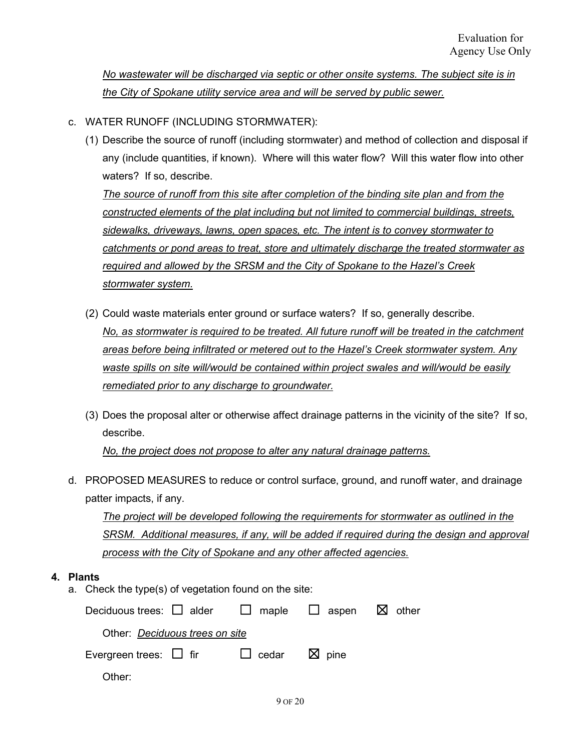*No wastewater will be discharged via septic or other onsite systems. The subject site is in the City of Spokane utility service area and will be served by public sewer.*

- c. WATER RUNOFF (INCLUDING STORMWATER):
	- (1) Describe the source of runoff (including stormwater) and method of collection and disposal if any (include quantities, if known). Where will this water flow? Will this water flow into other waters? If so, describe.

*The source of runoff from this site after completion of the binding site plan and from the constructed elements of the plat including but not limited to commercial buildings, streets, sidewalks, driveways, lawns, open spaces, etc. The intent is to convey stormwater to catchments or pond areas to treat, store and ultimately discharge the treated stormwater as required and allowed by the SRSM and the City of Spokane to the Hazel's Creek stormwater system.*

- (2) Could waste materials enter ground or surface waters? If so, generally describe. *No, as stormwater is required to be treated. All future runoff will be treated in the catchment areas before being infiltrated or metered out to the Hazel's Creek stormwater system. Any waste spills on site will/would be contained within project swales and will/would be easily remediated prior to any discharge to groundwater.*
- (3) Does the proposal alter or otherwise affect drainage patterns in the vicinity of the site? If so, describe.

*No, the project does not propose to alter any natural drainage patterns.*

d. PROPOSED MEASURES to reduce or control surface, ground, and runoff water, and drainage patter impacts, if any.

*The project will be developed following the requirements for stormwater as outlined in the SRSM.* Additional measures, if any, will be added if required during the design and approval *process with the City of Spokane and any other affected agencies.*

### **4. Plants**

| a. Check the type(s) of vegetation found on the site:                     |  |  |  |
|---------------------------------------------------------------------------|--|--|--|
| Deciduous trees: $\Box$ alder $\Box$ maple $\Box$ aspen $\boxtimes$ other |  |  |  |
| Other: Deciduous trees on site                                            |  |  |  |
| Evergreen trees: $\Box$ fir $\Box$ cedar $\boxtimes$ pine                 |  |  |  |
| Other:                                                                    |  |  |  |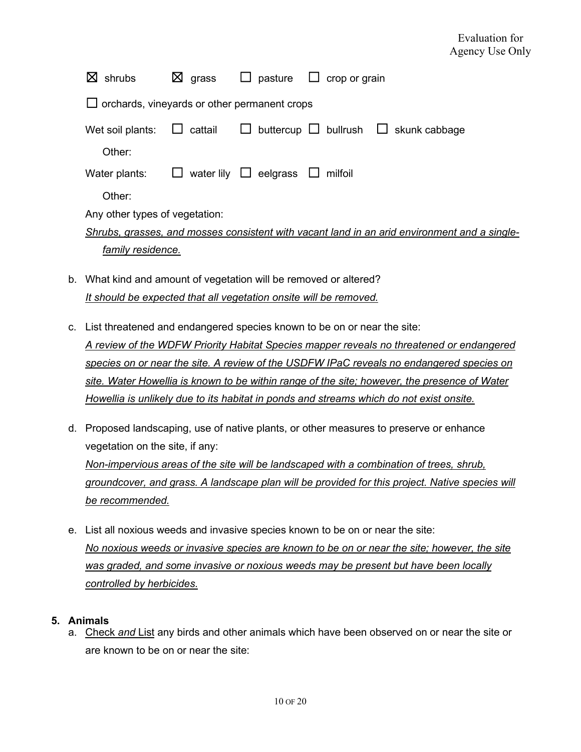| shrubs                                                                                       | $\boxtimes$ grass |                                                  | $\Box$ pasture $\Box$ crop or grain            |
|----------------------------------------------------------------------------------------------|-------------------|--------------------------------------------------|------------------------------------------------|
|                                                                                              |                   | orchards, vineyards or other permanent crops     |                                                |
| Wet soil plants:                                                                             | cattail           | $\Box$                                           | buttercup $\Box$ bullrush $\Box$ skunk cabbage |
| Other:                                                                                       |                   |                                                  |                                                |
| Water plants:                                                                                |                   | $\Box$ water lily $\Box$ eelgrass $\Box$ milfoil |                                                |
| Other:                                                                                       |                   |                                                  |                                                |
| Any other types of vegetation:                                                               |                   |                                                  |                                                |
| Shrubs, grasses, and mosses consistent with vacant land in an arid environment and a single- |                   |                                                  |                                                |
| family residence.                                                                            |                   |                                                  |                                                |

- b. What kind and amount of vegetation will be removed or altered? *It should be expected that all vegetation onsite will be removed.*
- c. List threatened and endangered species known to be on or near the site: *A review of the WDFW Priority Habitat Species mapper reveals no threatened or endangered species on or near the site. A review of the USDFW IPaC reveals no endangered species on site. Water Howellia is known to be within range of the site; however, the presence of Water Howellia is unlikely due to its habitat in ponds and streams which do not exist onsite.*
- d. Proposed landscaping, use of native plants, or other measures to preserve or enhance vegetation on the site, if any: *Non-impervious areas of the site will be landscaped with a combination of trees, shrub, groundcover, and grass. A landscape plan will be provided for this project. Native species will be recommended.*
- e. List all noxious weeds and invasive species known to be on or near the site: *No noxious weeds or invasive species are known to be on or near the site; however, the site was graded, and some invasive or noxious weeds may be present but have been locally controlled by herbicides.*

### **5. Animals**

a. Check *and* List any birds and other animals which have been observed on or near the site or are known to be on or near the site: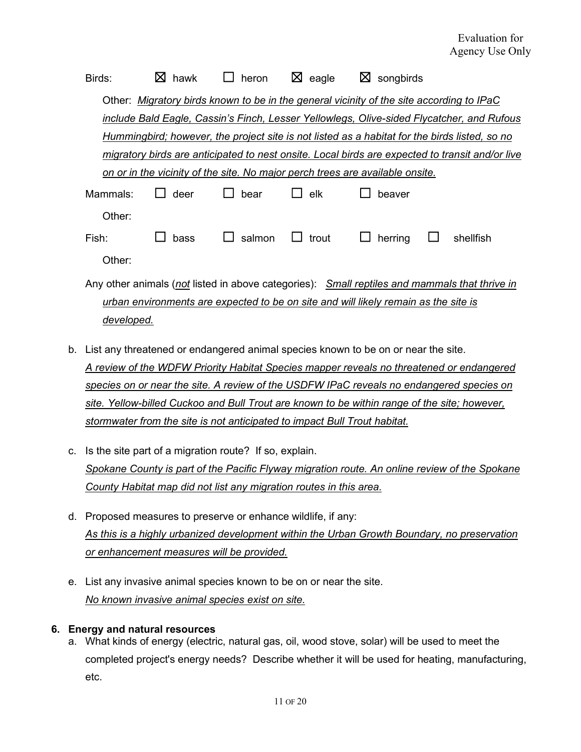| Birds:   | hawk<br>IXI. | heron  | $\boxtimes$ eagle | songbirds<br>⊠                                                                                |                                                                                                 |
|----------|--------------|--------|-------------------|-----------------------------------------------------------------------------------------------|-------------------------------------------------------------------------------------------------|
|          |              |        |                   | Other: Migratory birds known to be in the general vicinity of the site according to IPaC      |                                                                                                 |
|          |              |        |                   |                                                                                               | include Bald Eagle, Cassin's Finch, Lesser Yellowlegs, Olive-sided Flycatcher, and Rufous       |
|          |              |        |                   | Hummingbird; however, the project site is not listed as a habitat for the birds listed, so no |                                                                                                 |
|          |              |        |                   |                                                                                               | migratory birds are anticipated to nest onsite. Local birds are expected to transit and/or live |
|          |              |        |                   | on or in the vicinity of the site. No major perch trees are available onsite.                 |                                                                                                 |
| Mammals: | deer         | bear   | elk               | beaver                                                                                        |                                                                                                 |
| Other:   |              |        |                   |                                                                                               |                                                                                                 |
| Fish:    | bass         | salmon | $\Box$ trout      | herring                                                                                       | shellfish                                                                                       |
| Other:   |              |        |                   |                                                                                               |                                                                                                 |
|          |              |        |                   |                                                                                               |                                                                                                 |

Any other animals (*not* listed in above categories): *Small reptiles and mammals that thrive in urban environments are expected to be on site and will likely remain as the site is developed.*

- b. List any threatened or endangered animal species known to be on or near the site. *A review of the WDFW Priority Habitat Species mapper reveals no threatened or endangered species on or near the site. A review of the USDFW IPaC reveals no endangered species on site. Yellow-billed Cuckoo and Bull Trout are known to be within range of the site; however, stormwater from the site is not anticipated to impact Bull Trout habitat.*
- c. Is the site part of a migration route? If so, explain. *Spokane County is part of the Pacific Flyway migration route. An online review of the Spokane County Habitat map did not list any migration routes in this area.*
- d. Proposed measures to preserve or enhance wildlife, if any: *As this is a highly urbanized development within the Urban Growth Boundary, no preservation or enhancement measures will be provided.*
- e. List any invasive animal species known to be on or near the site. *No known invasive animal species exist on site.*

# **6. Energy and natural resources**

a. What kinds of energy (electric, natural gas, oil, wood stove, solar) will be used to meet the completed project's energy needs? Describe whether it will be used for heating, manufacturing, etc.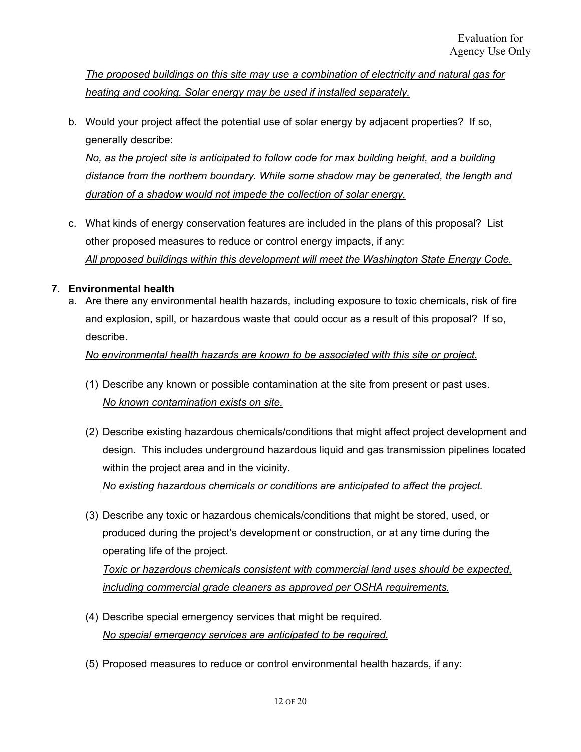*The proposed buildings on this site may use a combination of electricity and natural gas for heating and cooking. Solar energy may be used if installed separately.*

b. Would your project affect the potential use of solar energy by adjacent properties? If so, generally describe:

*No, as the project site is anticipated to follow code for max building height, and a building distance from the northern boundary. While some shadow may be generated, the length and duration of a shadow would not impede the collection of solar energy.*

c. What kinds of energy conservation features are included in the plans of this proposal? List other proposed measures to reduce or control energy impacts, if any: *All proposed buildings within this development will meet the Washington State Energy Code.* 

# **7. Environmental health**

a. Are there any environmental health hazards, including exposure to toxic chemicals, risk of fire and explosion, spill, or hazardous waste that could occur as a result of this proposal? If so, describe.

# *No environmental health hazards are known to be associated with this site or project.*

- (1) Describe any known or possible contamination at the site from present or past uses. *No known contamination exists on site.*
- (2) Describe existing hazardous chemicals/conditions that might affect project development and design. This includes underground hazardous liquid and gas transmission pipelines located within the project area and in the vicinity. *No existing hazardous chemicals or conditions are anticipated to affect the project.*
- (3) Describe any toxic or hazardous chemicals/conditions that might be stored, used, or produced during the project's development or construction, or at any time during the operating life of the project.

*Toxic or hazardous chemicals consistent with commercial land uses should be expected, including commercial grade cleaners as approved per OSHA requirements.*

- (4) Describe special emergency services that might be required. *No special emergency services are anticipated to be required.*
- (5) Proposed measures to reduce or control environmental health hazards, if any: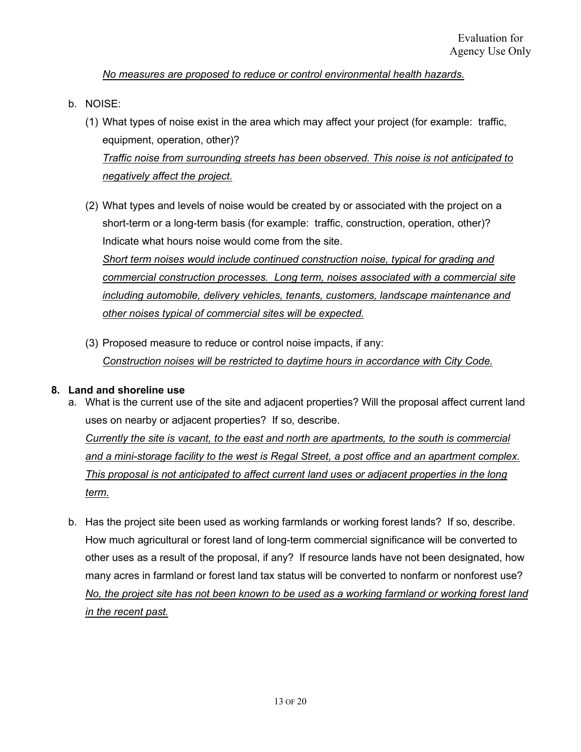*No measures are proposed to reduce or control environmental health hazards.*

- b. NOISE:
	- (1) What types of noise exist in the area which may affect your project (for example: traffic, equipment, operation, other)? *Traffic noise from surrounding streets has been observed. This noise is not anticipated to negatively affect the project.*
	- (2) What types and levels of noise would be created by or associated with the project on a short-term or a long-term basis (for example: traffic, construction, operation, other)? Indicate what hours noise would come from the site. *Short term noises would include continued construction noise, typical for grading and commercial construction processes. Long term, noises associated with a commercial site including automobile, delivery vehicles, tenants, customers, landscape maintenance and other noises typical of commercial sites will be expected.*
	- (3) Proposed measure to reduce or control noise impacts, if any: *Construction noises will be restricted to daytime hours in accordance with City Code.*

### **8. Land and shoreline use**

- a. What is the current use of the site and adjacent properties? Will the proposal affect current land uses on nearby or adjacent properties? If so, describe. *Currently the site is vacant, to the east and north are apartments, to the south is commercial and a mini-storage facility to the west is Regal Street, a post office and an apartment complex. This proposal is not anticipated to affect current land uses or adjacent properties in the long term.*
	- b. Has the project site been used as working farmlands or working forest lands? If so, describe. How much agricultural or forest land of long-term commercial significance will be converted to other uses as a result of the proposal, if any? If resource lands have not been designated, how many acres in farmland or forest land tax status will be converted to nonfarm or nonforest use? *No, the project site has not been known to be used as a working farmland or working forest land in the recent past.*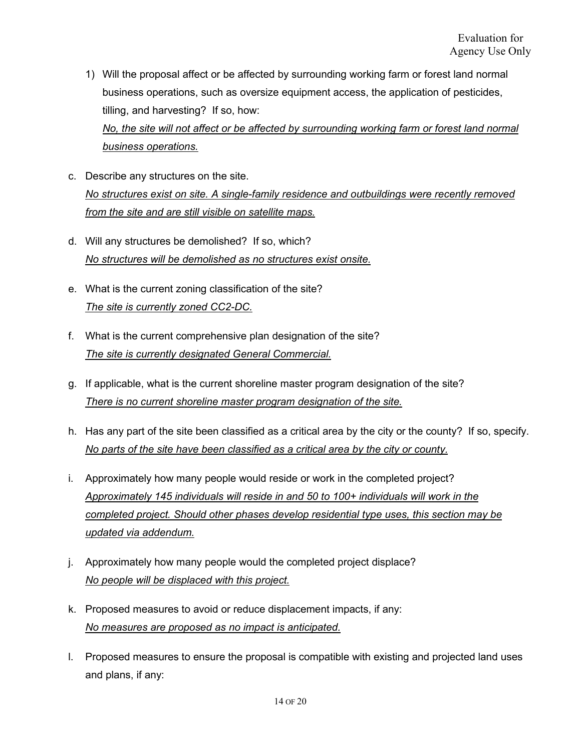- 1) Will the proposal affect or be affected by surrounding working farm or forest land normal business operations, such as oversize equipment access, the application of pesticides, tilling, and harvesting? If so, how: *No, the site will not affect or be affected by surrounding working farm or forest land normal business operations.*
- c. Describe any structures on the site. *No structures exist on site. A single-family residence and outbuildings were recently removed from the site and are still visible on satellite maps.*
- d. Will any structures be demolished? If so, which? *No structures will be demolished as no structures exist onsite.*
- e. What is the current zoning classification of the site? *The site is currently zoned CC2-DC.*
- f. What is the current comprehensive plan designation of the site? *The site is currently designated General Commercial.*
- g. If applicable, what is the current shoreline master program designation of the site? *There is no current shoreline master program designation of the site.*
- h. Has any part of the site been classified as a critical area by the city or the county? If so, specify. *No parts of the site have been classified as a critical area by the city or county.*
- i. Approximately how many people would reside or work in the completed project? *Approximately 145 individuals will reside in and 50 to 100+ individuals will work in the completed project. Should other phases develop residential type uses, this section may be updated via addendum.*
- j. Approximately how many people would the completed project displace? *No people will be displaced with this project.*
- k. Proposed measures to avoid or reduce displacement impacts, if any: *No measures are proposed as no impact is anticipated.*
- l. Proposed measures to ensure the proposal is compatible with existing and projected land uses and plans, if any: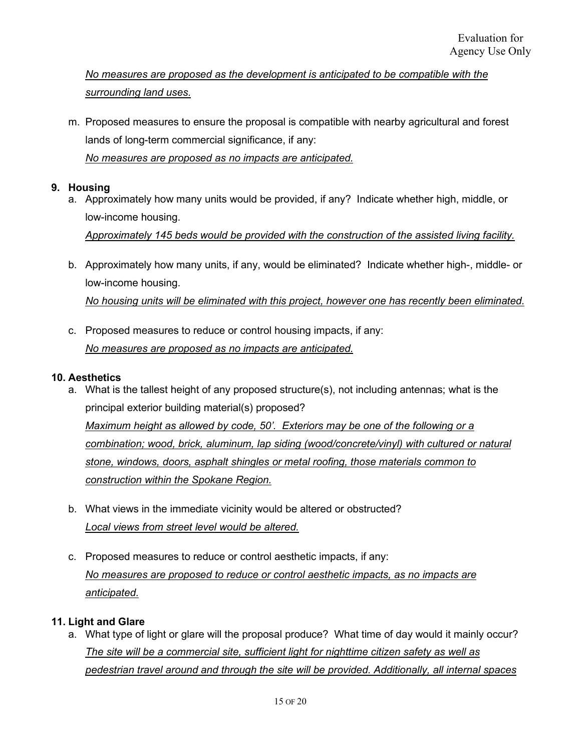# *No measures are proposed as the development is anticipated to be compatible with the surrounding land uses.*

m. Proposed measures to ensure the proposal is compatible with nearby agricultural and forest lands of long-term commercial significance, if any: *No measures are proposed as no impacts are anticipated.*

### **9. Housing**

a. Approximately how many units would be provided, if any? Indicate whether high, middle, or low-income housing.

*Approximately 145 beds would be provided with the construction of the assisted living facility.*

b. Approximately how many units, if any, would be eliminated? Indicate whether high-, middle- or low-income housing.

*No housing units will be eliminated with this project, however one has recently been eliminated.*

c. Proposed measures to reduce or control housing impacts, if any: *No measures are proposed as no impacts are anticipated.*

### **10. Aesthetics**

- a. What is the tallest height of any proposed structure(s), not including antennas; what is the principal exterior building material(s) proposed? *Maximum height as allowed by code, 50'. Exteriors may be one of the following or a combination; wood, brick, aluminum, lap siding (wood/concrete/vinyl) with cultured or natural stone, windows, doors, asphalt shingles or metal roofing, those materials common to construction within the Spokane Region.*
- b. What views in the immediate vicinity would be altered or obstructed? *Local views from street level would be altered.*
- c. Proposed measures to reduce or control aesthetic impacts, if any: *No measures are proposed to reduce or control aesthetic impacts, as no impacts are anticipated.*

### **11. Light and Glare**

a. What type of light or glare will the proposal produce? What time of day would it mainly occur? *The site will be a commercial site, sufficient light for nighttime citizen safety as well as pedestrian travel around and through the site will be provided. Additionally, all internal spaces*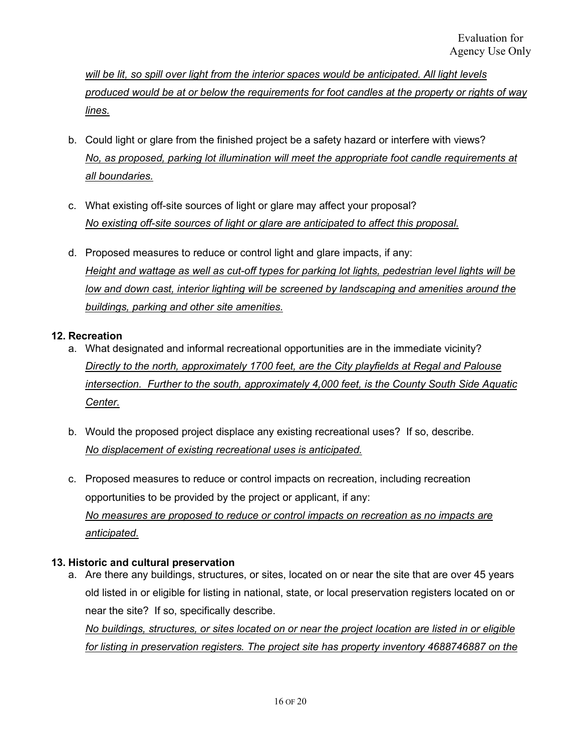*will be lit, so spill over light from the interior spaces would be anticipated. All light levels produced would be at or below the requirements for foot candles at the property or rights of way lines.*

- b. Could light or glare from the finished project be a safety hazard or interfere with views? *No, as proposed, parking lot illumination will meet the appropriate foot candle requirements at all boundaries.*
- c. What existing off-site sources of light or glare may affect your proposal? *No existing off-site sources of light or glare are anticipated to affect this proposal.*
- d. Proposed measures to reduce or control light and glare impacts, if any: *Height and wattage as well as cut-off types for parking lot lights, pedestrian level lights will be*  low and down cast, interior lighting will be screened by landscaping and amenities around the *buildings, parking and other site amenities.*

### **12. Recreation**

- a. What designated and informal recreational opportunities are in the immediate vicinity? *Directly to the north, approximately 1700 feet, are the City playfields at Regal and Palouse intersection. Further to the south, approximately 4,000 feet, is the County South Side Aquatic Center.*
- b. Would the proposed project displace any existing recreational uses? If so, describe. *No displacement of existing recreational uses is anticipated.*
- c. Proposed measures to reduce or control impacts on recreation, including recreation opportunities to be provided by the project or applicant, if any: *No measures are proposed to reduce or control impacts on recreation as no impacts are anticipated.*

# **13. Historic and cultural preservation**

a. Are there any buildings, structures, or sites, located on or near the site that are over 45 years old listed in or eligible for listing in national, state, or local preservation registers located on or near the site? If so, specifically describe. *No buildings, structures, or sites located on or near the project location are listed in or eligible for listing in preservation registers. The project site has property inventory 4688746887 on the*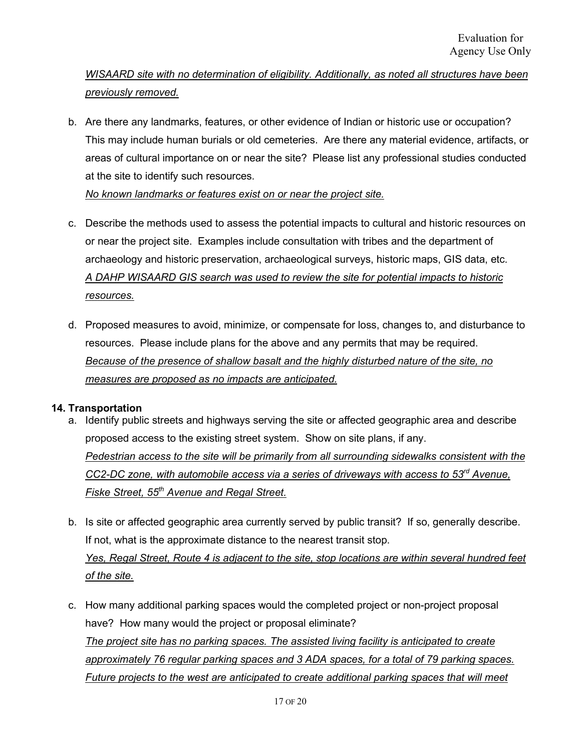# *WISAARD site with no determination of eligibility. Additionally, as noted all structures have been previously removed.*

b. Are there any landmarks, features, or other evidence of Indian or historic use or occupation? This may include human burials or old cemeteries. Are there any material evidence, artifacts, or areas of cultural importance on or near the site? Please list any professional studies conducted at the site to identify such resources.

*No known landmarks or features exist on or near the project site.*

- c. Describe the methods used to assess the potential impacts to cultural and historic resources on or near the project site. Examples include consultation with tribes and the department of archaeology and historic preservation, archaeological surveys, historic maps, GIS data, etc. *A DAHP WISAARD GIS search was used to review the site for potential impacts to historic resources.*
- d. Proposed measures to avoid, minimize, or compensate for loss, changes to, and disturbance to resources. Please include plans for the above and any permits that may be required. *Because of the presence of shallow basalt and the highly disturbed nature of the site, no measures are proposed as no impacts are anticipated.*

### **14. Transportation**

- a. Identify public streets and highways serving the site or affected geographic area and describe proposed access to the existing street system. Show on site plans, if any. *Pedestrian access to the site will be primarily from all surrounding sidewalks consistent with the CC2-DC zone, with automobile access via a series of driveways with access to 53rd Avenue, Fiske Street, 55th Avenue and Regal Street.*
- b. Is site or affected geographic area currently served by public transit? If so, generally describe. If not, what is the approximate distance to the nearest transit stop. *Yes, Regal Street, Route 4 is adjacent to the site, stop locations are within several hundred feet of the site.*
- c. How many additional parking spaces would the completed project or non-project proposal have? How many would the project or proposal eliminate? *The project site has no parking spaces. The assisted living facility is anticipated to create approximately 76 regular parking spaces and 3 ADA spaces, for a total of 79 parking spaces. Future projects to the west are anticipated to create additional parking spaces that will meet*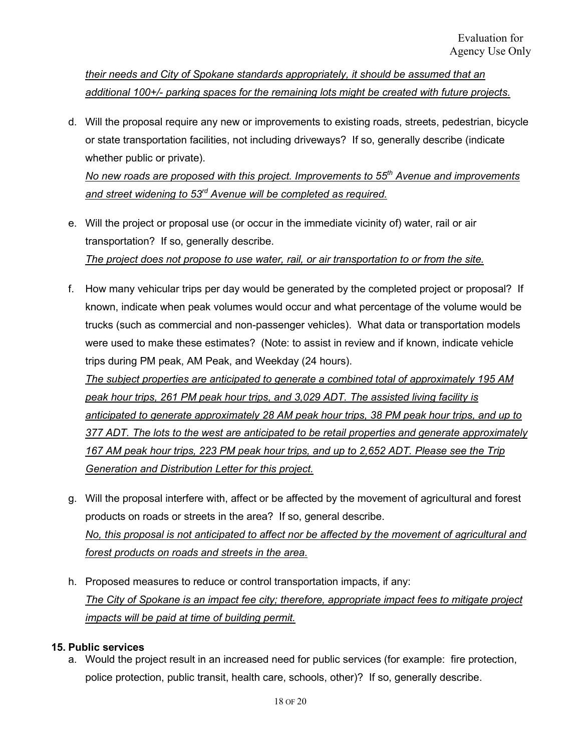*their needs and City of Spokane standards appropriately, it should be assumed that an additional 100+/- parking spaces for the remaining lots might be created with future projects.*

- d. Will the proposal require any new or improvements to existing roads, streets, pedestrian, bicycle or state transportation facilities, not including driveways? If so, generally describe (indicate whether public or private). *No new roads are proposed with this project. Improvements to 55th Avenue and improvements and street widening to 53rd Avenue will be completed as required.*
- e. Will the project or proposal use (or occur in the immediate vicinity of) water, rail or air transportation? If so, generally describe. *The project does not propose to use water, rail, or air transportation to or from the site.*
- f. How many vehicular trips per day would be generated by the completed project or proposal? If known, indicate when peak volumes would occur and what percentage of the volume would be trucks (such as commercial and non-passenger vehicles). What data or transportation models were used to make these estimates? (Note: to assist in review and if known, indicate vehicle trips during PM peak, AM Peak, and Weekday (24 hours).

*The subject properties are anticipated to generate a combined total of approximately 195 AM peak hour trips, 261 PM peak hour trips, and 3,029 ADT. The assisted living facility is anticipated to generate approximately 28 AM peak hour trips, 38 PM peak hour trips, and up to 377 ADT. The lots to the west are anticipated to be retail properties and generate approximately 167 AM peak hour trips, 223 PM peak hour trips, and up to 2,652 ADT. Please see the Trip Generation and Distribution Letter for this project.*

- g. Will the proposal interfere with, affect or be affected by the movement of agricultural and forest products on roads or streets in the area? If so, general describe. *No, this proposal is not anticipated to affect nor be affected by the movement of agricultural and forest products on roads and streets in the area.*
- h. Proposed measures to reduce or control transportation impacts, if any: *The City of Spokane is an impact fee city; therefore, appropriate impact fees to mitigate project impacts will be paid at time of building permit.*

### **15. Public services**

a. Would the project result in an increased need for public services (for example: fire protection, police protection, public transit, health care, schools, other)? If so, generally describe.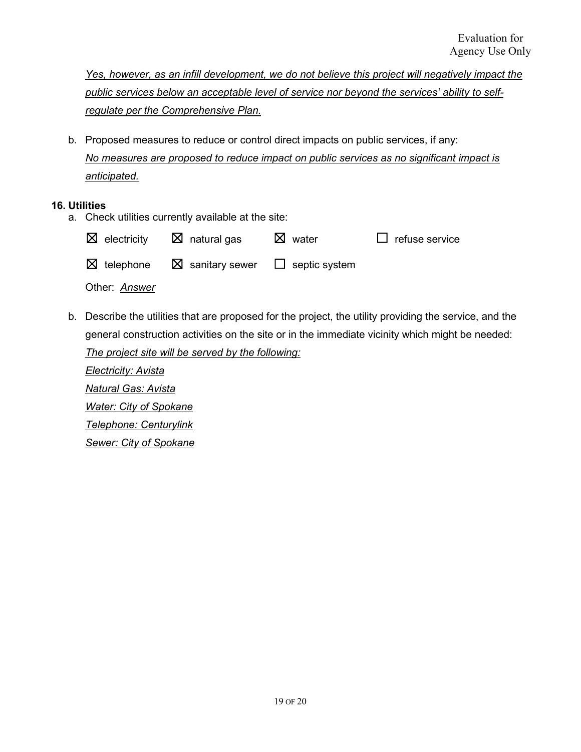*Yes, however, as an infill development, we do not believe this project will negatively impact the public services below an acceptable level of service nor beyond the services' ability to selfregulate per the Comprehensive Plan.*

b. Proposed measures to reduce or control direct impacts on public services, if any: *No measures are proposed to reduce impact on public services as no significant impact is anticipated.*

#### **16. Utilities**

a. Check utilities currently available at the site:

|                      | $\boxtimes$ electricity $\boxtimes$ natural gas                       | $\boxtimes$ water | $\Box$ refuse service |
|----------------------|-----------------------------------------------------------------------|-------------------|-----------------------|
|                      | $\boxtimes$ telephone $\boxtimes$ sanitary sewer $\Box$ septic system |                   |                       |
| Other: <b>Answer</b> |                                                                       |                   |                       |

b. Describe the utilities that are proposed for the project, the utility providing the service, and the general construction activities on the site or in the immediate vicinity which might be needed: *The project site will be served by the following:*

*Electricity: Avista Natural Gas: Avista Water: City of Spokane Telephone: Centurylink Sewer: City of Spokane*